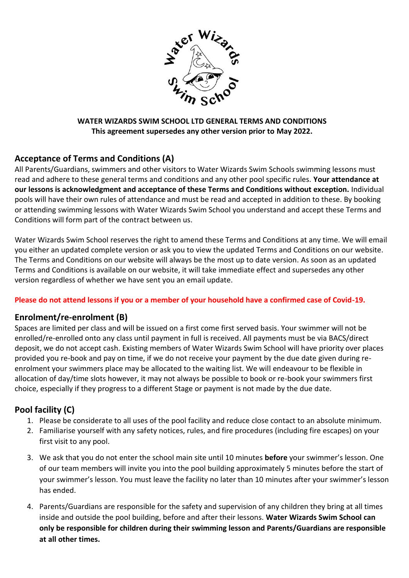

#### **WATER WIZARDS SWIM SCHOOL LTD GENERAL TERMS AND CONDITIONS This agreement supersedes any other version prior to May 2022.**

### **Acceptance of Terms and Conditions (A)**

All Parents/Guardians, swimmers and other visitors to Water Wizards Swim Schools swimming lessons must read and adhere to these general terms and conditions and any other pool specific rules. **Your attendance at our lessons is acknowledgment and acceptance of these Terms and Conditions without exception.** Individual pools will have their own rules of attendance and must be read and accepted in addition to these. By booking or attending swimming lessons with Water Wizards Swim School you understand and accept these Terms and Conditions will form part of the contract between us.

Water Wizards Swim School reserves the right to amend these Terms and Conditions at any time. We will email you either an updated complete version or ask you to view the updated Terms and Conditions on our website. The Terms and Conditions on our website will always be the most up to date version. As soon as an updated Terms and Conditions is available on our website, it will take immediate effect and supersedes any other version regardless of whether we have sent you an email update.

#### **Please do not attend lessons if you or a member of your household have a confirmed case of Covid-19.**

#### **Enrolment/re-enrolment (B)**

Spaces are limited per class and will be issued on a first come first served basis. Your swimmer will not be enrolled/re-enrolled onto any class until payment in full is received. All payments must be via BACS/direct deposit, we do not accept cash. Existing members of Water Wizards Swim School will have priority over places provided you re-book and pay on time, if we do not receive your payment by the due date given during reenrolment your swimmers place may be allocated to the waiting list. We will endeavour to be flexible in allocation of day/time slots however, it may not always be possible to book or re-book your swimmers first choice, especially if they progress to a different Stage or payment is not made by the due date.

## **Pool facility (C)**

- 1. Please be considerate to all uses of the pool facility and reduce close contact to an absolute minimum.
- 2. Familiarise yourself with any safety notices, rules, and fire procedures (including fire escapes) on your first visit to any pool.
- 3. We ask that you do not enter the school main site until 10 minutes **before** your swimmer's lesson. One of our team members will invite you into the pool building approximately 5 minutes before the start of your swimmer's lesson. You must leave the facility no later than 10 minutes after your swimmer's lesson has ended.
- 4. Parents/Guardians are responsible for the safety and supervision of any children they bring at all times inside and outside the pool building, before and after their lessons. **Water Wizards Swim School can only be responsible for children during their swimming lesson and Parents/Guardians are responsible at all other times.**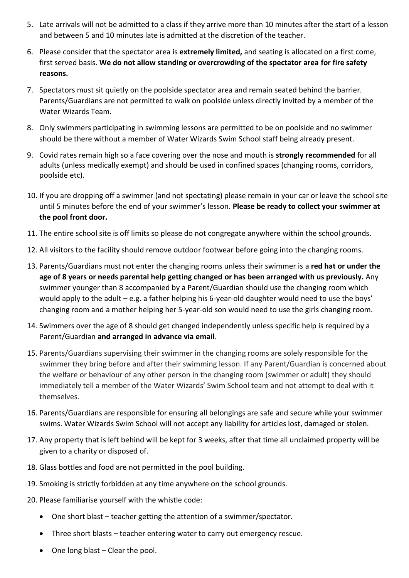- 5. Late arrivals will not be admitted to a class if they arrive more than 10 minutes after the start of a lesson and between 5 and 10 minutes late is admitted at the discretion of the teacher.
- 6. Please consider that the spectator area is **extremely limited,** and seating is allocated on a first come, first served basis. **We do not allow standing or overcrowding of the spectator area for fire safety reasons.**
- 7. Spectators must sit quietly on the poolside spectator area and remain seated behind the barrier. Parents/Guardians are not permitted to walk on poolside unless directly invited by a member of the Water Wizards Team.
- 8. Only swimmers participating in swimming lessons are permitted to be on poolside and no swimmer should be there without a member of Water Wizards Swim School staff being already present.
- 9. Covid rates remain high so a face covering over the nose and mouth is **strongly recommended** for all adults (unless medically exempt) and should be used in confined spaces (changing rooms, corridors, poolside etc).
- 10. If you are dropping off a swimmer (and not spectating) please remain in your car or leave the school site until 5 minutes before the end of your swimmer's lesson. **Please be ready to collect your swimmer at the pool front door.**
- 11. The entire school site is off limits so please do not congregate anywhere within the school grounds.
- 12. All visitors to the facility should remove outdoor footwear before going into the changing rooms.
- 13. Parents/Guardians must not enter the changing rooms unless their swimmer is a **red hat or under the age of 8 years or needs parental help getting changed or has been arranged with us previously.** Any swimmer younger than 8 accompanied by a Parent/Guardian should use the changing room which would apply to the adult – e.g. a father helping his 6-year-old daughter would need to use the boys' changing room and a mother helping her 5-year-old son would need to use the girls changing room.
- 14. Swimmers over the age of 8 should get changed independently unless specific help is required by a Parent/Guardian **and arranged in advance via email**.
- 15. Parents/Guardians supervising their swimmer in the changing rooms are solely responsible for the swimmer they bring before and after their swimming lesson. If any Parent/Guardian is concerned about the welfare or behaviour of any other person in the changing room (swimmer or adult) they should immediately tell a member of the Water Wizards' Swim School team and not attempt to deal with it themselves.
- 16. Parents/Guardians are responsible for ensuring all belongings are safe and secure while your swimmer swims. Water Wizards Swim School will not accept any liability for articles lost, damaged or stolen.
- 17. Any property that is left behind will be kept for 3 weeks, after that time all unclaimed property will be given to a charity or disposed of.
- 18. Glass bottles and food are not permitted in the pool building.
- 19. Smoking is strictly forbidden at any time anywhere on the school grounds.
- 20. Please familiarise yourself with the whistle code:
	- One short blast teacher getting the attention of a swimmer/spectator.
	- Three short blasts teacher entering water to carry out emergency rescue.
	- One long blast Clear the pool.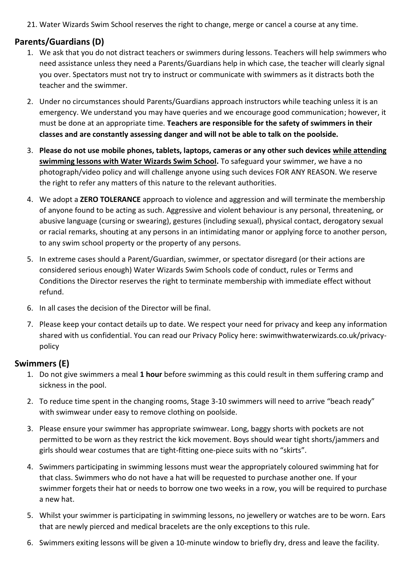21. Water Wizards Swim School reserves the right to change, merge or cancel a course at any time.

### **Parents/Guardians (D)**

- 1. We ask that you do not distract teachers or swimmers during lessons. Teachers will help swimmers who need assistance unless they need a Parents/Guardians help in which case, the teacher will clearly signal you over. Spectators must not try to instruct or communicate with swimmers as it distracts both the teacher and the swimmer.
- 2. Under no circumstances should Parents/Guardians approach instructors while teaching unless it is an emergency. We understand you may have queries and we encourage good communication; however, it must be done at an appropriate time. **Teachers are responsible for the safety of swimmers in their classes and are constantly assessing danger and will not be able to talk on the poolside.**
- 3. **Please do not use mobile phones, tablets, laptops, cameras or any other such devices while attending swimming lessons with Water Wizards Swim School.** To safeguard your swimmer, we have a no photograph/video policy and will challenge anyone using such devices FOR ANY REASON. We reserve the right to refer any matters of this nature to the relevant authorities.
- 4. We adopt a **ZERO TOLERANCE** approach to violence and aggression and will terminate the membership of anyone found to be acting as such. Aggressive and violent behaviour is any personal, threatening, or abusive language (cursing or swearing), gestures (including sexual), physical contact, derogatory sexual or racial remarks, shouting at any persons in an intimidating manor or applying force to another person, to any swim school property or the property of any persons.
- 5. In extreme cases should a Parent/Guardian, swimmer, or spectator disregard (or their actions are considered serious enough) Water Wizards Swim Schools code of conduct, rules or Terms and Conditions the Director reserves the right to terminate membership with immediate effect without refund.
- 6. In all cases the decision of the Director will be final.
- 7. Please keep your contact details up to date. We respect your need for privacy and keep any information shared with us confidential. You can read our Privacy Policy here: swimwithwaterwizards.co.uk/privacypolicy

#### **Swimmers (E)**

- 1. Do not give swimmers a meal **1 hour** before swimming as this could result in them suffering cramp and sickness in the pool.
- 2. To reduce time spent in the changing rooms, Stage 3-10 swimmers will need to arrive "beach ready" with swimwear under easy to remove clothing on poolside.
- 3. Please ensure your swimmer has appropriate swimwear. Long, baggy shorts with pockets are not permitted to be worn as they restrict the kick movement. Boys should wear tight shorts/jammers and girls should wear costumes that are tight-fitting one-piece suits with no "skirts".
- 4. Swimmers participating in swimming lessons must wear the appropriately coloured swimming hat for that class. Swimmers who do not have a hat will be requested to purchase another one. If your swimmer forgets their hat or needs to borrow one two weeks in a row, you will be required to purchase a new hat.
- 5. Whilst your swimmer is participating in swimming lessons, no jewellery or watches are to be worn. Ears that are newly pierced and medical bracelets are the only exceptions to this rule.
- 6. Swimmers exiting lessons will be given a 10-minute window to briefly dry, dress and leave the facility.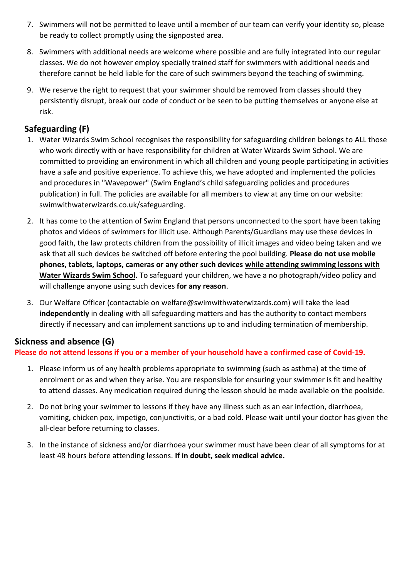- 7. Swimmers will not be permitted to leave until a member of our team can verify your identity so, please be ready to collect promptly using the signposted area.
- 8. Swimmers with additional needs are welcome where possible and are fully integrated into our regular classes. We do not however employ specially trained staff for swimmers with additional needs and therefore cannot be held liable for the care of such swimmers beyond the teaching of swimming.
- 9. We reserve the right to request that your swimmer should be removed from classes should they persistently disrupt, break our code of conduct or be seen to be putting themselves or anyone else at risk.

## **Safeguarding (F)**

- 1. Water Wizards Swim School recognises the responsibility for safeguarding children belongs to ALL those who work directly with or have responsibility for children at Water Wizards Swim School. We are committed to providing an environment in which all children and young people participating in activities have a safe and positive experience. To achieve this, we have adopted and implemented the policies and procedures in "Wavepower" (Swim England's child safeguarding policies and procedures publication) in full. The policies are available for all members to view at any time on our website: swimwithwaterwizards.co.uk/safeguarding.
- 2. It has come to the attention of Swim England that persons unconnected to the sport have been taking photos and videos of swimmers for illicit use. Although Parents/Guardians may use these devices in good faith, the law protects children from the possibility of illicit images and video being taken and we ask that all such devices be switched off before entering the pool building. **Please do not use mobile phones, tablets, laptops, cameras or any other such devices while attending swimming lessons with Water Wizards Swim School.** To safeguard your children, we have a no photograph/video policy and will challenge anyone using such devices **for any reason**.
- 3. Our Welfare Officer (contactable on welfare@swimwithwaterwizards.com) will take the lead **independently** in dealing with all safeguarding matters and has the authority to contact members directly if necessary and can implement sanctions up to and including termination of membership.

## **Sickness and absence (G)**

#### **Please do not attend lessons if you or a member of your household have a confirmed case of Covid-19.**

- 1. Please inform us of any health problems appropriate to swimming (such as asthma) at the time of enrolment or as and when they arise. You are responsible for ensuring your swimmer is fit and healthy to attend classes. Any medication required during the lesson should be made available on the poolside.
- 2. Do not bring your swimmer to lessons if they have any illness such as an ear infection, diarrhoea, vomiting, chicken pox, impetigo, conjunctivitis, or a bad cold. Please wait until your doctor has given the all-clear before returning to classes.
- 3. In the instance of sickness and/or diarrhoea your swimmer must have been clear of all symptoms for at least 48 hours before attending lessons. **If in doubt, seek medical advice.**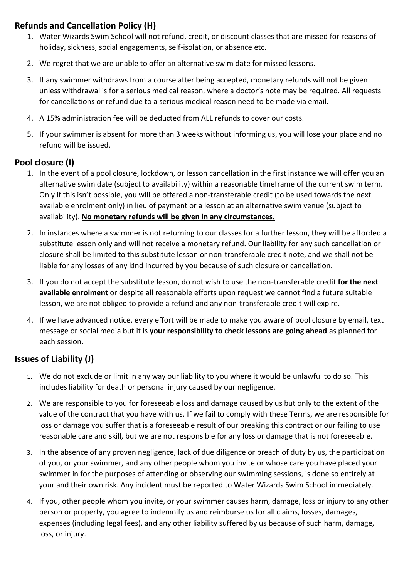## **Refunds and Cancellation Policy (H)**

- 1. Water Wizards Swim School will not refund, credit, or discount classes that are missed for reasons of holiday, sickness, social engagements, self-isolation, or absence etc.
- 2. We regret that we are unable to offer an alternative swim date for missed lessons.
- 3. If any swimmer withdraws from a course after being accepted, monetary refunds will not be given unless withdrawal is for a serious medical reason, where a doctor's note may be required. All requests for cancellations or refund due to a serious medical reason need to be made via email.
- 4. A 15% administration fee will be deducted from ALL refunds to cover our costs.
- 5. If your swimmer is absent for more than 3 weeks without informing us, you will lose your place and no refund will be issued.

### **Pool closure (I)**

- 1. In the event of a pool closure, lockdown, or lesson cancellation in the first instance we will offer you an alternative swim date (subject to availability) within a reasonable timeframe of the current swim term. Only if this isn't possible, you will be offered a non-transferable credit (to be used towards the next available enrolment only) in lieu of payment or a lesson at an alternative swim venue (subject to availability). **No monetary refunds will be given in any circumstances.**
- 2. In instances where a swimmer is not returning to our classes for a further lesson, they will be afforded a substitute lesson only and will not receive a monetary refund. Our liability for any such cancellation or closure shall be limited to this substitute lesson or non-transferable credit note, and we shall not be liable for any losses of any kind incurred by you because of such closure or cancellation.
- 3. If you do not accept the substitute lesson, do not wish to use the non-transferable credit **for the next available enrolment** or despite all reasonable efforts upon request we cannot find a future suitable lesson, we are not obliged to provide a refund and any non-transferable credit will expire.
- 4. If we have advanced notice, every effort will be made to make you aware of pool closure by email, text message or social media but it is **your responsibility to check lessons are going ahead** as planned for each session.

# **Issues of Liability (J)**

- 1. We do not exclude or limit in any way our liability to you where it would be unlawful to do so. This includes liability for death or personal injury caused by our negligence.
- 2. We are responsible to you for foreseeable loss and damage caused by us but only to the extent of the value of the contract that you have with us. If we fail to comply with these Terms, we are responsible for loss or damage you suffer that is a foreseeable result of our breaking this contract or our failing to use reasonable care and skill, but we are not responsible for any loss or damage that is not foreseeable.
- 3. In the absence of any proven negligence, lack of due diligence or breach of duty by us, the participation of you, or your swimmer, and any other people whom you invite or whose care you have placed your swimmer in for the purposes of attending or observing our swimming sessions, is done so entirely at your and their own risk. Any incident must be reported to Water Wizards Swim School immediately.
- 4. If you, other people whom you invite, or your swimmer causes harm, damage, loss or injury to any other person or property, you agree to indemnify us and reimburse us for all claims, losses, damages, expenses (including legal fees), and any other liability suffered by us because of such harm, damage, loss, or injury.